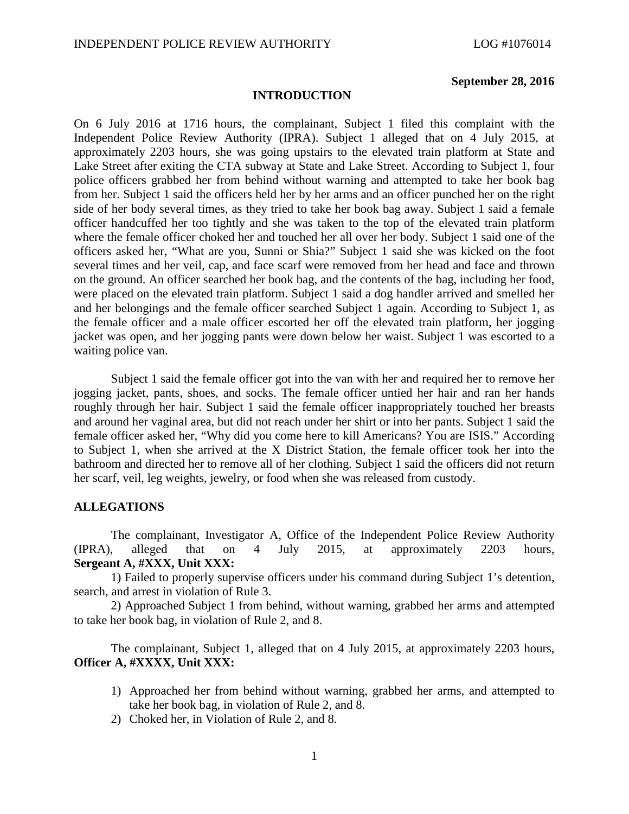#### **September 28, 2016**

## **INTRODUCTION**

On 6 July 2016 at 1716 hours, the complainant, Subject 1 filed this complaint with the Independent Police Review Authority (IPRA). Subject 1 alleged that on 4 July 2015, at approximately 2203 hours, she was going upstairs to the elevated train platform at State and Lake Street after exiting the CTA subway at State and Lake Street. According to Subject 1, four police officers grabbed her from behind without warning and attempted to take her book bag from her. Subject 1 said the officers held her by her arms and an officer punched her on the right side of her body several times, as they tried to take her book bag away. Subject 1 said a female officer handcuffed her too tightly and she was taken to the top of the elevated train platform where the female officer choked her and touched her all over her body. Subject 1 said one of the officers asked her, "What are you, Sunni or Shia?" Subject 1 said she was kicked on the foot several times and her veil, cap, and face scarf were removed from her head and face and thrown on the ground. An officer searched her book bag, and the contents of the bag, including her food, were placed on the elevated train platform. Subject 1 said a dog handler arrived and smelled her and her belongings and the female officer searched Subject 1 again. According to Subject 1, as the female officer and a male officer escorted her off the elevated train platform, her jogging jacket was open, and her jogging pants were down below her waist. Subject 1 was escorted to a waiting police van.

Subject 1 said the female officer got into the van with her and required her to remove her jogging jacket, pants, shoes, and socks. The female officer untied her hair and ran her hands roughly through her hair. Subject 1 said the female officer inappropriately touched her breasts and around her vaginal area, but did not reach under her shirt or into her pants. Subject 1 said the female officer asked her, "Why did you come here to kill Americans? You are ISIS." According to Subject 1, when she arrived at the X District Station, the female officer took her into the bathroom and directed her to remove all of her clothing. Subject 1 said the officers did not return her scarf, veil, leg weights, jewelry, or food when she was released from custody.

### **ALLEGATIONS**

The complainant, Investigator A, Office of the Independent Police Review Authority (IPRA), alleged that on 4 July 2015, at approximately 2203 hours, **Sergeant A, #XXX, Unit XXX:**

1) Failed to properly supervise officers under his command during Subject 1's detention, search, and arrest in violation of Rule 3.

2) Approached Subject 1 from behind, without warning, grabbed her arms and attempted to take her book bag, in violation of Rule 2, and 8.

The complainant, Subject 1, alleged that on 4 July 2015, at approximately 2203 hours, **Officer A, #XXXX, Unit XXX:**

- 1) Approached her from behind without warning, grabbed her arms, and attempted to take her book bag, in violation of Rule 2, and 8.
- 2) Choked her, in Violation of Rule 2, and 8.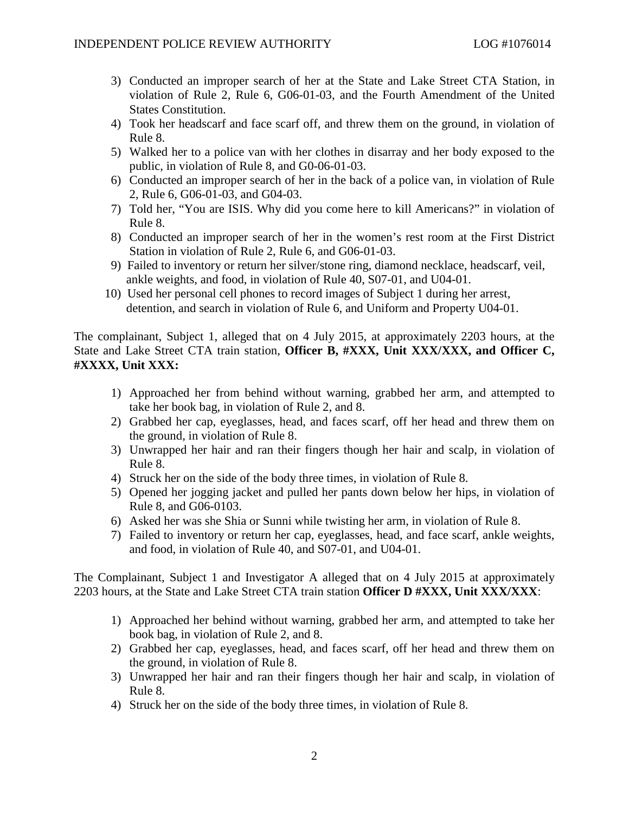- 3) Conducted an improper search of her at the State and Lake Street CTA Station, in violation of Rule 2, Rule 6, G06-01-03, and the Fourth Amendment of the United States Constitution.
- 4) Took her headscarf and face scarf off, and threw them on the ground, in violation of Rule 8.
- 5) Walked her to a police van with her clothes in disarray and her body exposed to the public, in violation of Rule 8, and G0-06-01-03.
- 6) Conducted an improper search of her in the back of a police van, in violation of Rule 2, Rule 6, G06-01-03, and G04-03.
- 7) Told her, "You are ISIS. Why did you come here to kill Americans?" in violation of Rule 8.
- 8) Conducted an improper search of her in the women's rest room at the First District Station in violation of Rule 2, Rule 6, and G06-01-03.
- 9) Failed to inventory or return her silver/stone ring, diamond necklace, headscarf, veil, ankle weights, and food, in violation of Rule 40, S07-01, and U04-01.
- 10) Used her personal cell phones to record images of Subject 1 during her arrest, detention, and search in violation of Rule 6, and Uniform and Property U04-01.

The complainant, Subject 1, alleged that on 4 July 2015, at approximately 2203 hours, at the State and Lake Street CTA train station, **Officer B, #XXX, Unit XXX/XXX, and Officer C, #XXXX, Unit XXX:**

- 1) Approached her from behind without warning, grabbed her arm, and attempted to take her book bag, in violation of Rule 2, and 8.
- 2) Grabbed her cap, eyeglasses, head, and faces scarf, off her head and threw them on the ground, in violation of Rule 8.
- 3) Unwrapped her hair and ran their fingers though her hair and scalp, in violation of Rule 8.
- 4) Struck her on the side of the body three times, in violation of Rule 8.
- 5) Opened her jogging jacket and pulled her pants down below her hips, in violation of Rule 8, and G06-0103.
- 6) Asked her was she Shia or Sunni while twisting her arm, in violation of Rule 8.
- 7) Failed to inventory or return her cap, eyeglasses, head, and face scarf, ankle weights, and food, in violation of Rule 40, and S07-01, and U04-01.

The Complainant, Subject 1 and Investigator A alleged that on 4 July 2015 at approximately 2203 hours, at the State and Lake Street CTA train station **Officer D #XXX, Unit XXX/XXX**:

- 1) Approached her behind without warning, grabbed her arm, and attempted to take her book bag, in violation of Rule 2, and 8.
- 2) Grabbed her cap, eyeglasses, head, and faces scarf, off her head and threw them on the ground, in violation of Rule 8.
- 3) Unwrapped her hair and ran their fingers though her hair and scalp, in violation of Rule 8.
- 4) Struck her on the side of the body three times, in violation of Rule 8.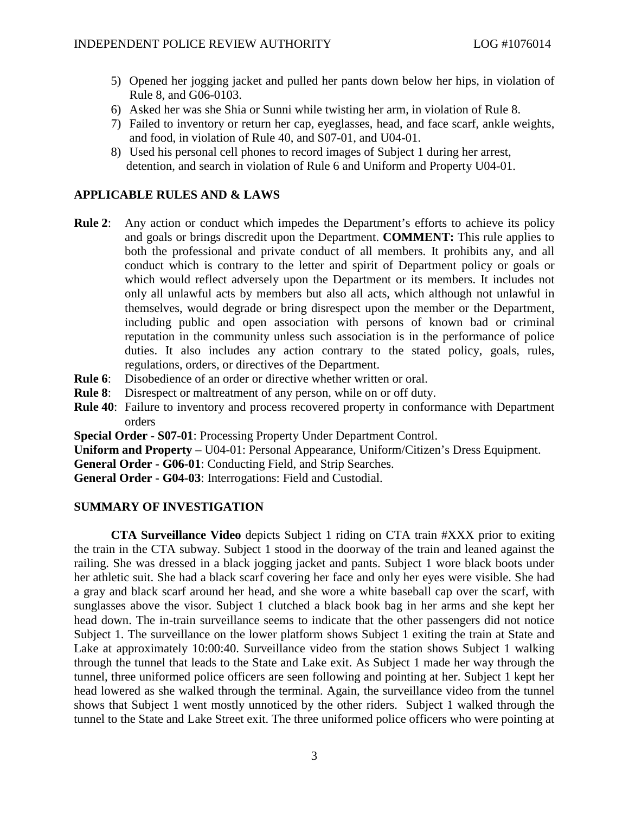- 5) Opened her jogging jacket and pulled her pants down below her hips, in violation of Rule 8, and G06-0103.
- 6) Asked her was she Shia or Sunni while twisting her arm, in violation of Rule 8.
- 7) Failed to inventory or return her cap, eyeglasses, head, and face scarf, ankle weights, and food, in violation of Rule 40, and S07-01, and U04-01.
- 8) Used his personal cell phones to record images of Subject 1 during her arrest, detention, and search in violation of Rule 6 and Uniform and Property U04-01.

# **APPLICABLE RULES AND & LAWS**

- **Rule 2**: Any action or conduct which impedes the Department's efforts to achieve its policy and goals or brings discredit upon the Department. **COMMENT:** This rule applies to both the professional and private conduct of all members. It prohibits any, and all conduct which is contrary to the letter and spirit of Department policy or goals or which would reflect adversely upon the Department or its members. It includes not only all unlawful acts by members but also all acts, which although not unlawful in themselves, would degrade or bring disrespect upon the member or the Department, including public and open association with persons of known bad or criminal reputation in the community unless such association is in the performance of police duties. It also includes any action contrary to the stated policy, goals, rules, regulations, orders, or directives of the Department.
- **Rule 6**: Disobedience of an order or directive whether written or oral.
- **Rule 8**: Disrespect or maltreatment of any person, while on or off duty.
- **Rule 40**: Failure to inventory and process recovered property in conformance with Department orders

**Special Order - S07-01**: Processing Property Under Department Control.

**Uniform and Property** – U04-01: Personal Appearance, Uniform/Citizen's Dress Equipment.

**General Order - G06-01**: Conducting Field, and Strip Searches.

**General Order - G04-03**: Interrogations: Field and Custodial.

# **SUMMARY OF INVESTIGATION**

**CTA Surveillance Video** depicts Subject 1 riding on CTA train #XXX prior to exiting the train in the CTA subway. Subject 1 stood in the doorway of the train and leaned against the railing. She was dressed in a black jogging jacket and pants. Subject 1 wore black boots under her athletic suit. She had a black scarf covering her face and only her eyes were visible. She had a gray and black scarf around her head, and she wore a white baseball cap over the scarf, with sunglasses above the visor. Subject 1 clutched a black book bag in her arms and she kept her head down. The in-train surveillance seems to indicate that the other passengers did not notice Subject 1. The surveillance on the lower platform shows Subject 1 exiting the train at State and Lake at approximately 10:00:40. Surveillance video from the station shows Subject 1 walking through the tunnel that leads to the State and Lake exit. As Subject 1 made her way through the tunnel, three uniformed police officers are seen following and pointing at her. Subject 1 kept her head lowered as she walked through the terminal. Again, the surveillance video from the tunnel shows that Subject 1 went mostly unnoticed by the other riders. Subject 1 walked through the tunnel to the State and Lake Street exit. The three uniformed police officers who were pointing at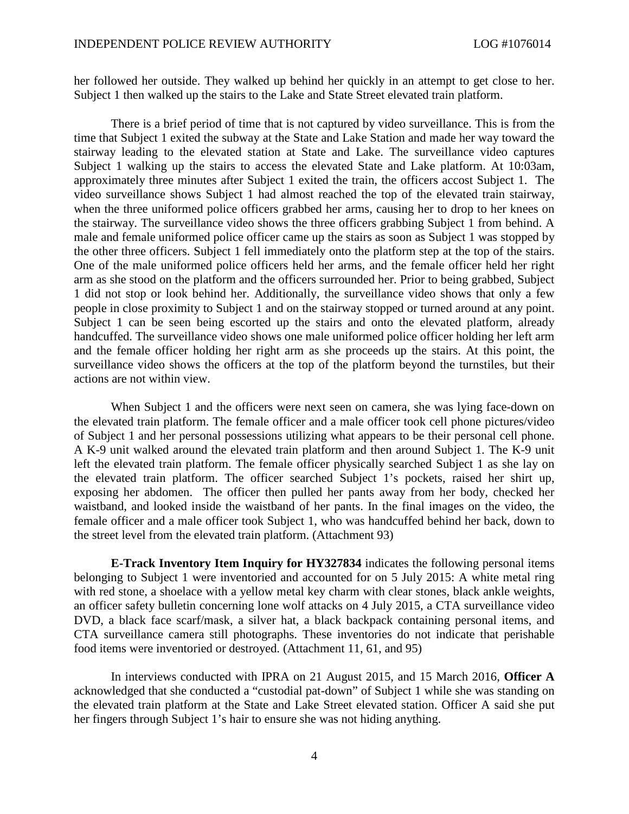her followed her outside. They walked up behind her quickly in an attempt to get close to her. Subject 1 then walked up the stairs to the Lake and State Street elevated train platform.

There is a brief period of time that is not captured by video surveillance. This is from the time that Subject 1 exited the subway at the State and Lake Station and made her way toward the stairway leading to the elevated station at State and Lake. The surveillance video captures Subject 1 walking up the stairs to access the elevated State and Lake platform. At 10:03am, approximately three minutes after Subject 1 exited the train, the officers accost Subject 1. The video surveillance shows Subject 1 had almost reached the top of the elevated train stairway, when the three uniformed police officers grabbed her arms, causing her to drop to her knees on the stairway. The surveillance video shows the three officers grabbing Subject 1 from behind. A male and female uniformed police officer came up the stairs as soon as Subject 1 was stopped by the other three officers. Subject 1 fell immediately onto the platform step at the top of the stairs. One of the male uniformed police officers held her arms, and the female officer held her right arm as she stood on the platform and the officers surrounded her. Prior to being grabbed, Subject 1 did not stop or look behind her. Additionally, the surveillance video shows that only a few people in close proximity to Subject 1 and on the stairway stopped or turned around at any point. Subject 1 can be seen being escorted up the stairs and onto the elevated platform, already handcuffed. The surveillance video shows one male uniformed police officer holding her left arm and the female officer holding her right arm as she proceeds up the stairs. At this point, the surveillance video shows the officers at the top of the platform beyond the turnstiles, but their actions are not within view.

When Subject 1 and the officers were next seen on camera, she was lying face-down on the elevated train platform. The female officer and a male officer took cell phone pictures/video of Subject 1 and her personal possessions utilizing what appears to be their personal cell phone. A K-9 unit walked around the elevated train platform and then around Subject 1. The K-9 unit left the elevated train platform. The female officer physically searched Subject 1 as she lay on the elevated train platform. The officer searched Subject 1's pockets, raised her shirt up, exposing her abdomen. The officer then pulled her pants away from her body, checked her waistband, and looked inside the waistband of her pants. In the final images on the video, the female officer and a male officer took Subject 1, who was handcuffed behind her back, down to the street level from the elevated train platform. (Attachment 93)

**E-Track Inventory Item Inquiry for HY327834** indicates the following personal items belonging to Subject 1 were inventoried and accounted for on 5 July 2015: A white metal ring with red stone, a shoelace with a yellow metal key charm with clear stones, black ankle weights, an officer safety bulletin concerning lone wolf attacks on 4 July 2015, a CTA surveillance video DVD, a black face scarf/mask, a silver hat, a black backpack containing personal items, and CTA surveillance camera still photographs. These inventories do not indicate that perishable food items were inventoried or destroyed. (Attachment 11, 61, and 95)

In interviews conducted with IPRA on 21 August 2015, and 15 March 2016, **Officer A** acknowledged that she conducted a "custodial pat-down" of Subject 1 while she was standing on the elevated train platform at the State and Lake Street elevated station. Officer A said she put her fingers through Subject 1's hair to ensure she was not hiding anything.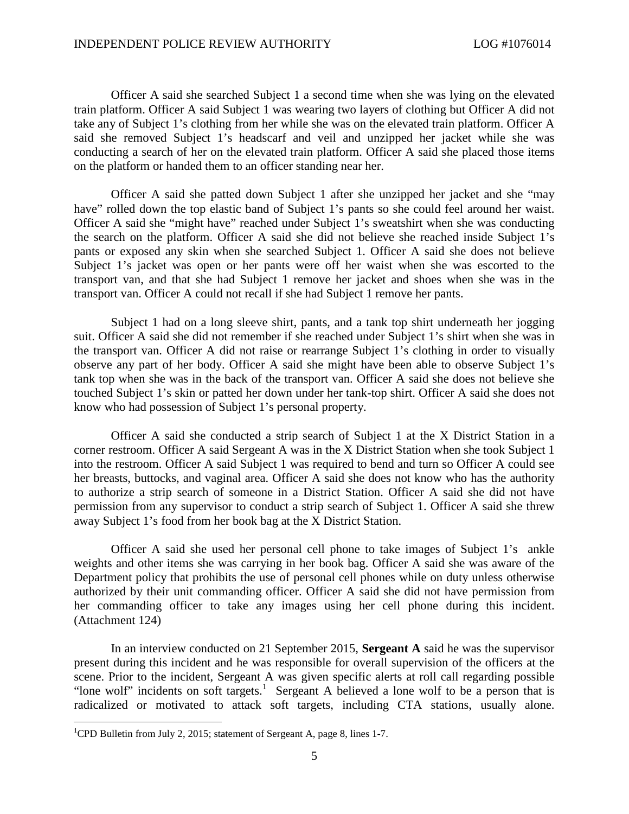Officer A said she searched Subject 1 a second time when she was lying on the elevated train platform. Officer A said Subject 1 was wearing two layers of clothing but Officer A did not take any of Subject 1's clothing from her while she was on the elevated train platform. Officer A said she removed Subject 1's headscarf and veil and unzipped her jacket while she was conducting a search of her on the elevated train platform. Officer A said she placed those items on the platform or handed them to an officer standing near her.

Officer A said she patted down Subject 1 after she unzipped her jacket and she "may have" rolled down the top elastic band of Subject 1's pants so she could feel around her waist. Officer A said she "might have" reached under Subject 1's sweatshirt when she was conducting the search on the platform. Officer A said she did not believe she reached inside Subject 1's pants or exposed any skin when she searched Subject 1. Officer A said she does not believe Subject 1's jacket was open or her pants were off her waist when she was escorted to the transport van, and that she had Subject 1 remove her jacket and shoes when she was in the transport van. Officer A could not recall if she had Subject 1 remove her pants.

Subject 1 had on a long sleeve shirt, pants, and a tank top shirt underneath her jogging suit. Officer A said she did not remember if she reached under Subject 1's shirt when she was in the transport van. Officer A did not raise or rearrange Subject 1's clothing in order to visually observe any part of her body. Officer A said she might have been able to observe Subject 1's tank top when she was in the back of the transport van. Officer A said she does not believe she touched Subject 1's skin or patted her down under her tank-top shirt. Officer A said she does not know who had possession of Subject 1's personal property.

Officer A said she conducted a strip search of Subject 1 at the X District Station in a corner restroom. Officer A said Sergeant A was in the X District Station when she took Subject 1 into the restroom. Officer A said Subject 1 was required to bend and turn so Officer A could see her breasts, buttocks, and vaginal area. Officer A said she does not know who has the authority to authorize a strip search of someone in a District Station. Officer A said she did not have permission from any supervisor to conduct a strip search of Subject 1. Officer A said she threw away Subject 1's food from her book bag at the X District Station.

Officer A said she used her personal cell phone to take images of Subject 1's ankle weights and other items she was carrying in her book bag. Officer A said she was aware of the Department policy that prohibits the use of personal cell phones while on duty unless otherwise authorized by their unit commanding officer. Officer A said she did not have permission from her commanding officer to take any images using her cell phone during this incident. (Attachment 124)

In an interview conducted on 21 September 2015, **Sergeant A** said he was the supervisor present during this incident and he was responsible for overall supervision of the officers at the scene. Prior to the incident, Sergeant A was given specific alerts at roll call regarding possible "lone wolf" incidents on soft targets.<sup>[1](#page-4-0)</sup> Sergeant A believed a lone wolf to be a person that is radicalized or motivated to attack soft targets, including CTA stations, usually alone.

<span id="page-4-0"></span><sup>&</sup>lt;sup>1</sup>CPD Bulletin from July 2, 2015; statement of Sergeant A, page 8, lines 1-7.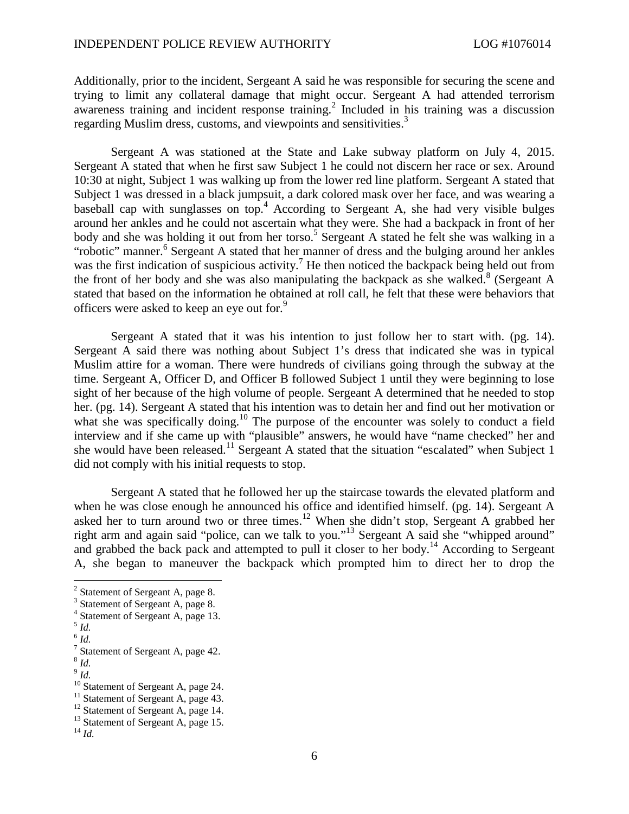Additionally, prior to the incident, Sergeant A said he was responsible for securing the scene and trying to limit any collateral damage that might occur. Sergeant A had attended terrorism awareness training and incident response training.<sup>[2](#page-5-0)</sup> Included in his training was a discussion regarding Muslim dress, customs, and viewpoints and sensitivities.<sup>[3](#page-5-1)</sup>

Sergeant A was stationed at the State and Lake subway platform on July 4, 2015. Sergeant A stated that when he first saw Subject 1 he could not discern her race or sex. Around 10:30 at night, Subject 1 was walking up from the lower red line platform. Sergeant A stated that Subject 1 was dressed in a black jumpsuit, a dark colored mask over her face, and was wearing a baseball cap with sunglasses on top.[4](#page-5-2) According to Sergeant A, she had very visible bulges around her ankles and he could not ascertain what they were. She had a backpack in front of her bodyand she was holding it out from her torso.<sup>5</sup> Sergeant A stated he felt she was walking in a "robotic" manner.<sup>[6](#page-5-4)</sup> Sergeant A stated that her manner of dress and the bulging around her ankles was the first indication of suspicious activity.<sup>[7](#page-5-5)</sup> He then noticed the backpack being held out from the front of her body and she was also manipulating the backpack as she walked.<sup>[8](#page-5-6)</sup> (Sergeant A stated that based on the information he obtained at roll call, he felt that these were behaviors that officerswere asked to keep an eye out for.<sup>9</sup>

Sergeant A stated that it was his intention to just follow her to start with. (pg. 14). Sergeant A said there was nothing about Subject 1's dress that indicated she was in typical Muslim attire for a woman. There were hundreds of civilians going through the subway at the time. Sergeant A, Officer D, and Officer B followed Subject 1 until they were beginning to lose sight of her because of the high volume of people. Sergeant A determined that he needed to stop her. (pg. 14). Sergeant A stated that his intention was to detain her and find out her motivation or what she was specifically doing.<sup>[10](#page-5-8)</sup> The purpose of the encounter was solely to conduct a field interview and if she came up with "plausible" answers, he would have "name checked" her and she would have been released.<sup>[11](#page-5-9)</sup> Sergeant A stated that the situation "escalated" when Subject 1 did not comply with his initial requests to stop.

Sergeant A stated that he followed her up the staircase towards the elevated platform and when he was close enough he announced his office and identified himself. (pg. 14). Sergeant A asked her to turn around two or three times.<sup>[12](#page-5-10)</sup> When she didn't stop, Sergeant A grabbed her right arm and again said "police, can we talk to you."<sup>[13](#page-5-11)</sup> Sergeant A said she "whipped around" and grabbed the back pack and attempted to pull it closer to her body.<sup>[14](#page-5-12)</sup> According to Sergeant A, she began to maneuver the backpack which prompted him to direct her to drop the

<span id="page-5-1"></span><span id="page-5-0"></span><sup>&</sup>lt;sup>2</sup> Statement of Sergeant A, page 8.

<span id="page-5-2"></span><sup>&</sup>lt;sup>3</sup> Statement of Sergeant A, page 8.

<span id="page-5-3"></span><sup>4</sup> Statement of Sergeant A, page 13.

<span id="page-5-4"></span><sup>5</sup> *Id.*

<span id="page-5-5"></span><sup>6</sup> *Id.*

<span id="page-5-6"></span><sup>&</sup>lt;sup>7</sup> Statement of Sergeant A, page 42.

<span id="page-5-7"></span><sup>8</sup> *Id.*

<sup>9</sup> *Id.*

<span id="page-5-9"></span><span id="page-5-8"></span><sup>&</sup>lt;sup>10</sup> Statement of Sergeant A, page 24.

<span id="page-5-10"></span><sup>&</sup>lt;sup>11</sup> Statement of Sergeant A, page 43.

<sup>&</sup>lt;sup>12</sup> Statement of Sergeant A, page 14.

<span id="page-5-11"></span><sup>&</sup>lt;sup>13</sup> Statement of Sergeant A, page 15.

<span id="page-5-12"></span><sup>14</sup> *Id.*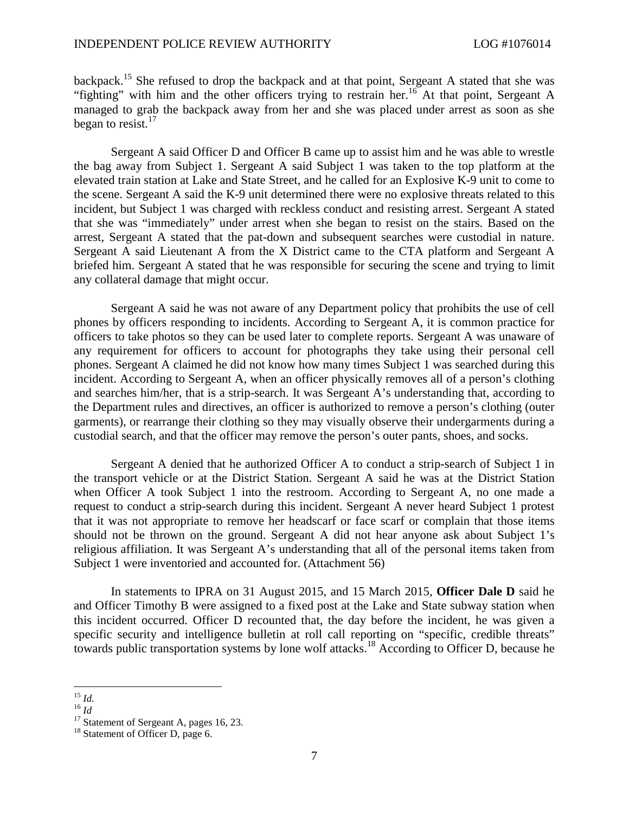backpack.[15](#page-6-0) She refused to drop the backpack and at that point, Sergeant A stated that she was "fighting"with him and the other officers trying to restrain her.<sup>16</sup> At that point, Sergeant A managed to grab the backpack away from her and she was placed under arrest as soon as she began to resist. $17$ 

Sergeant A said Officer D and Officer B came up to assist him and he was able to wrestle the bag away from Subject 1. Sergeant A said Subject 1 was taken to the top platform at the elevated train station at Lake and State Street, and he called for an Explosive K-9 unit to come to the scene. Sergeant A said the K-9 unit determined there were no explosive threats related to this incident, but Subject 1 was charged with reckless conduct and resisting arrest. Sergeant A stated that she was "immediately" under arrest when she began to resist on the stairs. Based on the arrest, Sergeant A stated that the pat-down and subsequent searches were custodial in nature. Sergeant A said Lieutenant A from the X District came to the CTA platform and Sergeant A briefed him. Sergeant A stated that he was responsible for securing the scene and trying to limit any collateral damage that might occur.

Sergeant A said he was not aware of any Department policy that prohibits the use of cell phones by officers responding to incidents. According to Sergeant A, it is common practice for officers to take photos so they can be used later to complete reports. Sergeant A was unaware of any requirement for officers to account for photographs they take using their personal cell phones. Sergeant A claimed he did not know how many times Subject 1 was searched during this incident. According to Sergeant A, when an officer physically removes all of a person's clothing and searches him/her, that is a strip-search. It was Sergeant A's understanding that, according to the Department rules and directives, an officer is authorized to remove a person's clothing (outer garments), or rearrange their clothing so they may visually observe their undergarments during a custodial search, and that the officer may remove the person's outer pants, shoes, and socks.

Sergeant A denied that he authorized Officer A to conduct a strip-search of Subject 1 in the transport vehicle or at the District Station. Sergeant A said he was at the District Station when Officer A took Subject 1 into the restroom. According to Sergeant A, no one made a request to conduct a strip-search during this incident. Sergeant A never heard Subject 1 protest that it was not appropriate to remove her headscarf or face scarf or complain that those items should not be thrown on the ground. Sergeant A did not hear anyone ask about Subject 1's religious affiliation. It was Sergeant A's understanding that all of the personal items taken from Subject 1 were inventoried and accounted for. (Attachment 56)

In statements to IPRA on 31 August 2015, and 15 March 2015, **Officer Dale D** said he and Officer Timothy B were assigned to a fixed post at the Lake and State subway station when this incident occurred. Officer D recounted that, the day before the incident, he was given a specific security and intelligence bulletin at roll call reporting on "specific, credible threats" towards public transportation systems by lone wolf attacks.<sup>[18](#page-6-3)</sup> According to Officer D, because he

<span id="page-6-0"></span><sup>15</sup> *Id.*

<span id="page-6-1"></span><sup>16</sup> *Id*

<span id="page-6-2"></span> $17$  Statement of Sergeant A, pages 16, 23.

<span id="page-6-3"></span><sup>&</sup>lt;sup>18</sup> Statement of Officer D, page 6.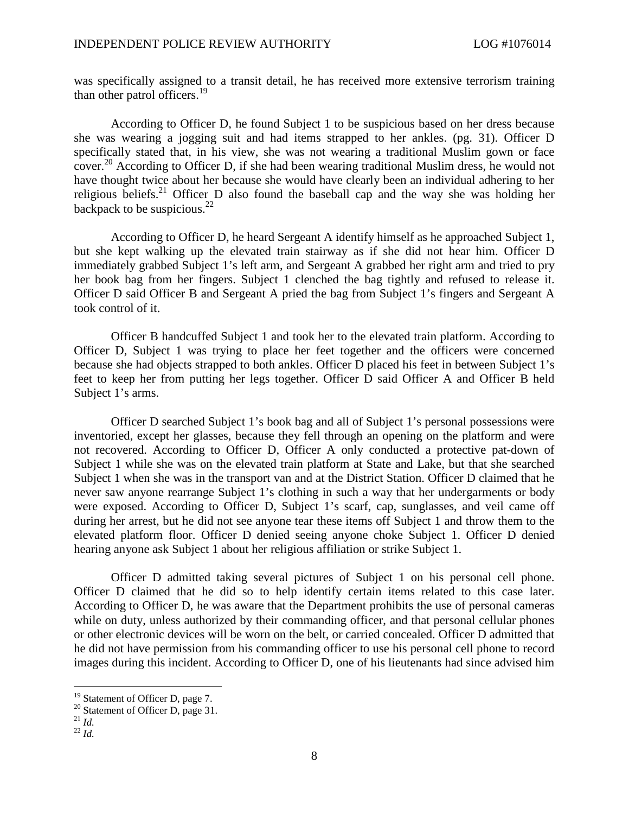was specifically assigned to a transit detail, he has received more extensive terrorism training than other patrol officers.<sup>[19](#page-7-0)</sup>

According to Officer D, he found Subject 1 to be suspicious based on her dress because she was wearing a jogging suit and had items strapped to her ankles. (pg. 31). Officer D specifically stated that, in his view, she was not wearing a traditional Muslim gown or face cover.<sup>[20](#page-7-1)</sup> According to Officer D, if she had been wearing traditional Muslim dress, he would not have thought twice about her because she would have clearly been an individual adhering to her religious beliefs.<sup>[21](#page-7-2)</sup> Officer D also found the baseball cap and the way she was holding her backpack to be suspicious.<sup>[22](#page-7-3)</sup>

According to Officer D, he heard Sergeant A identify himself as he approached Subject 1, but she kept walking up the elevated train stairway as if she did not hear him. Officer D immediately grabbed Subject 1's left arm, and Sergeant A grabbed her right arm and tried to pry her book bag from her fingers. Subject 1 clenched the bag tightly and refused to release it. Officer D said Officer B and Sergeant A pried the bag from Subject 1's fingers and Sergeant A took control of it.

Officer B handcuffed Subject 1 and took her to the elevated train platform. According to Officer D, Subject 1 was trying to place her feet together and the officers were concerned because she had objects strapped to both ankles. Officer D placed his feet in between Subject 1's feet to keep her from putting her legs together. Officer D said Officer A and Officer B held Subject 1's arms.

Officer D searched Subject 1's book bag and all of Subject 1's personal possessions were inventoried, except her glasses, because they fell through an opening on the platform and were not recovered. According to Officer D, Officer A only conducted a protective pat-down of Subject 1 while she was on the elevated train platform at State and Lake, but that she searched Subject 1 when she was in the transport van and at the District Station. Officer D claimed that he never saw anyone rearrange Subject 1's clothing in such a way that her undergarments or body were exposed. According to Officer D, Subject 1's scarf, cap, sunglasses, and veil came off during her arrest, but he did not see anyone tear these items off Subject 1 and throw them to the elevated platform floor. Officer D denied seeing anyone choke Subject 1. Officer D denied hearing anyone ask Subject 1 about her religious affiliation or strike Subject 1.

Officer D admitted taking several pictures of Subject 1 on his personal cell phone. Officer D claimed that he did so to help identify certain items related to this case later. According to Officer D, he was aware that the Department prohibits the use of personal cameras while on duty, unless authorized by their commanding officer, and that personal cellular phones or other electronic devices will be worn on the belt, or carried concealed. Officer D admitted that he did not have permission from his commanding officer to use his personal cell phone to record images during this incident. According to Officer D, one of his lieutenants had since advised him

<span id="page-7-1"></span><span id="page-7-0"></span><sup>&</sup>lt;sup>19</sup> Statement of Officer D, page 7.

<sup>&</sup>lt;sup>20</sup> Statement of Officer D, page 31.

<span id="page-7-2"></span> $^{21}$   $\overline{Id}$ .

<span id="page-7-3"></span><sup>22</sup> *Id.*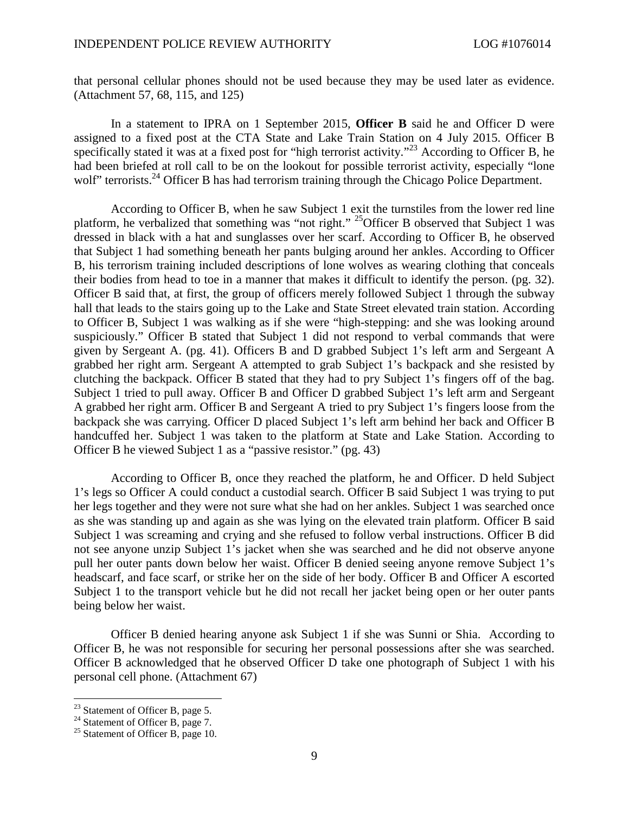that personal cellular phones should not be used because they may be used later as evidence. (Attachment 57, 68, 115, and 125)

In a statement to IPRA on 1 September 2015, **Officer B** said he and Officer D were assigned to a fixed post at the CTA State and Lake Train Station on 4 July 2015. Officer B specifically stated it was at a fixed post for "high terrorist activity."<sup>[23](#page-8-0)</sup> According to Officer B, he had been briefed at roll call to be on the lookout for possible terrorist activity, especially "lone wolf" terrorists.<sup>[24](#page-8-1)</sup> Officer B has had terrorism training through the Chicago Police Department.

According to Officer B, when he saw Subject 1 exit the turnstiles from the lower red line platform, he verbalized that something was "not right." [25](#page-8-2)Officer B observed that Subject 1 was dressed in black with a hat and sunglasses over her scarf. According to Officer B, he observed that Subject 1 had something beneath her pants bulging around her ankles. According to Officer B, his terrorism training included descriptions of lone wolves as wearing clothing that conceals their bodies from head to toe in a manner that makes it difficult to identify the person. (pg. 32). Officer B said that, at first, the group of officers merely followed Subject 1 through the subway hall that leads to the stairs going up to the Lake and State Street elevated train station. According to Officer B, Subject 1 was walking as if she were "high-stepping: and she was looking around suspiciously." Officer B stated that Subject 1 did not respond to verbal commands that were given by Sergeant A. (pg. 41). Officers B and D grabbed Subject 1's left arm and Sergeant A grabbed her right arm. Sergeant A attempted to grab Subject 1's backpack and she resisted by clutching the backpack. Officer B stated that they had to pry Subject 1's fingers off of the bag. Subject 1 tried to pull away. Officer B and Officer D grabbed Subject 1's left arm and Sergeant A grabbed her right arm. Officer B and Sergeant A tried to pry Subject 1's fingers loose from the backpack she was carrying. Officer D placed Subject 1's left arm behind her back and Officer B handcuffed her. Subject 1 was taken to the platform at State and Lake Station. According to Officer B he viewed Subject 1 as a "passive resistor." (pg. 43)

According to Officer B, once they reached the platform, he and Officer. D held Subject 1's legs so Officer A could conduct a custodial search. Officer B said Subject 1 was trying to put her legs together and they were not sure what she had on her ankles. Subject 1 was searched once as she was standing up and again as she was lying on the elevated train platform. Officer B said Subject 1 was screaming and crying and she refused to follow verbal instructions. Officer B did not see anyone unzip Subject 1's jacket when she was searched and he did not observe anyone pull her outer pants down below her waist. Officer B denied seeing anyone remove Subject 1's headscarf, and face scarf, or strike her on the side of her body. Officer B and Officer A escorted Subject 1 to the transport vehicle but he did not recall her jacket being open or her outer pants being below her waist.

Officer B denied hearing anyone ask Subject 1 if she was Sunni or Shia. According to Officer B, he was not responsible for securing her personal possessions after she was searched. Officer B acknowledged that he observed Officer D take one photograph of Subject 1 with his personal cell phone. (Attachment 67)

<span id="page-8-1"></span><span id="page-8-0"></span> $23$  Statement of Officer B, page 5.

<span id="page-8-2"></span> $^{24}$  Statement of Officer B, page 7.

<sup>&</sup>lt;sup>25</sup> Statement of Officer B, page 10.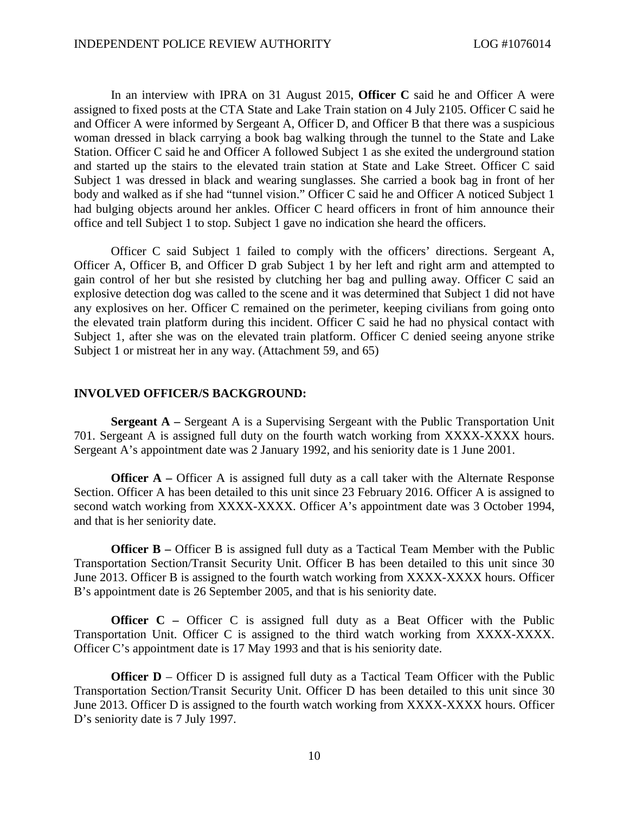In an interview with IPRA on 31 August 2015, **Officer C** said he and Officer A were assigned to fixed posts at the CTA State and Lake Train station on 4 July 2105. Officer C said he and Officer A were informed by Sergeant A, Officer D, and Officer B that there was a suspicious woman dressed in black carrying a book bag walking through the tunnel to the State and Lake Station. Officer C said he and Officer A followed Subject 1 as she exited the underground station and started up the stairs to the elevated train station at State and Lake Street. Officer C said Subject 1 was dressed in black and wearing sunglasses. She carried a book bag in front of her body and walked as if she had "tunnel vision." Officer C said he and Officer A noticed Subject 1 had bulging objects around her ankles. Officer C heard officers in front of him announce their office and tell Subject 1 to stop. Subject 1 gave no indication she heard the officers.

Officer C said Subject 1 failed to comply with the officers' directions. Sergeant A, Officer A, Officer B, and Officer D grab Subject 1 by her left and right arm and attempted to gain control of her but she resisted by clutching her bag and pulling away. Officer C said an explosive detection dog was called to the scene and it was determined that Subject 1 did not have any explosives on her. Officer C remained on the perimeter, keeping civilians from going onto the elevated train platform during this incident. Officer C said he had no physical contact with Subject 1, after she was on the elevated train platform. Officer C denied seeing anyone strike Subject 1 or mistreat her in any way. (Attachment 59, and 65)

#### **INVOLVED OFFICER/S BACKGROUND:**

**Sergeant A –** Sergeant A is a Supervising Sergeant with the Public Transportation Unit 701. Sergeant A is assigned full duty on the fourth watch working from XXXX-XXXX hours. Sergeant A's appointment date was 2 January 1992, and his seniority date is 1 June 2001.

**Officer A** – Officer A is assigned full duty as a call taker with the Alternate Response Section. Officer A has been detailed to this unit since 23 February 2016. Officer A is assigned to second watch working from XXXX-XXXX. Officer A's appointment date was 3 October 1994, and that is her seniority date.

**Officer B** – Officer B is assigned full duty as a Tactical Team Member with the Public Transportation Section/Transit Security Unit. Officer B has been detailed to this unit since 30 June 2013. Officer B is assigned to the fourth watch working from XXXX-XXXX hours. Officer B's appointment date is 26 September 2005, and that is his seniority date.

**Officer C** – Officer C is assigned full duty as a Beat Officer with the Public Transportation Unit. Officer C is assigned to the third watch working from XXXX-XXXX. Officer C's appointment date is 17 May 1993 and that is his seniority date.

**Officer D** – Officer D is assigned full duty as a Tactical Team Officer with the Public Transportation Section/Transit Security Unit. Officer D has been detailed to this unit since 30 June 2013. Officer D is assigned to the fourth watch working from XXXX-XXXX hours. Officer D's seniority date is 7 July 1997.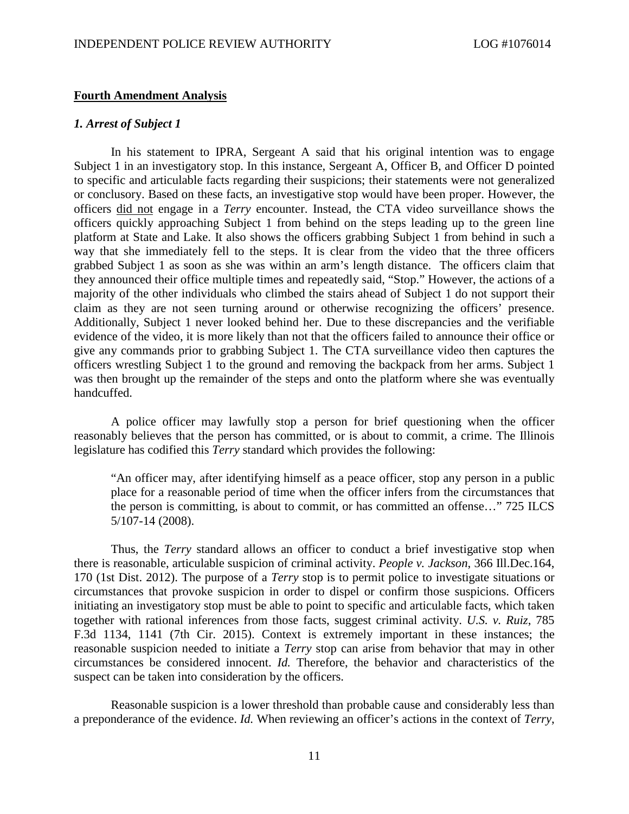# **Fourth Amendment Analysis**

# *1. Arrest of Subject 1*

In his statement to IPRA, Sergeant A said that his original intention was to engage Subject 1 in an investigatory stop. In this instance, Sergeant A, Officer B, and Officer D pointed to specific and articulable facts regarding their suspicions; their statements were not generalized or conclusory. Based on these facts, an investigative stop would have been proper. However, the officers did not engage in a *Terry* encounter. Instead, the CTA video surveillance shows the officers quickly approaching Subject 1 from behind on the steps leading up to the green line platform at State and Lake. It also shows the officers grabbing Subject 1 from behind in such a way that she immediately fell to the steps. It is clear from the video that the three officers grabbed Subject 1 as soon as she was within an arm's length distance. The officers claim that they announced their office multiple times and repeatedly said, "Stop." However, the actions of a majority of the other individuals who climbed the stairs ahead of Subject 1 do not support their claim as they are not seen turning around or otherwise recognizing the officers' presence. Additionally, Subject 1 never looked behind her. Due to these discrepancies and the verifiable evidence of the video, it is more likely than not that the officers failed to announce their office or give any commands prior to grabbing Subject 1. The CTA surveillance video then captures the officers wrestling Subject 1 to the ground and removing the backpack from her arms. Subject 1 was then brought up the remainder of the steps and onto the platform where she was eventually handcuffed.

A police officer may lawfully stop a person for brief questioning when the officer reasonably believes that the person has committed, or is about to commit, a crime. The Illinois legislature has codified this *Terry* standard which provides the following:

"An officer may, after identifying himself as a peace officer, stop any person in a public place for a reasonable period of time when the officer infers from the circumstances that the person is committing, is about to commit, or has committed an offense…" 725 ILCS 5/107-14 (2008).

Thus, the *Terry* standard allows an officer to conduct a brief investigative stop when there is reasonable, articulable suspicion of criminal activity. *People v. Jackson*, 366 Ill.Dec.164, 170 (1st Dist. 2012). The purpose of a *Terry* stop is to permit police to investigate situations or circumstances that provoke suspicion in order to dispel or confirm those suspicions. Officers initiating an investigatory stop must be able to point to specific and articulable facts, which taken together with rational inferences from those facts, suggest criminal activity. *U.S. v. Ruiz*, 785 F.3d 1134, 1141 (7th Cir. 2015). Context is extremely important in these instances; the reasonable suspicion needed to initiate a *Terry* stop can arise from behavior that may in other circumstances be considered innocent. *Id.* Therefore, the behavior and characteristics of the suspect can be taken into consideration by the officers.

Reasonable suspicion is a lower threshold than probable cause and considerably less than a preponderance of the evidence. *Id.* When reviewing an officer's actions in the context of *Terry*,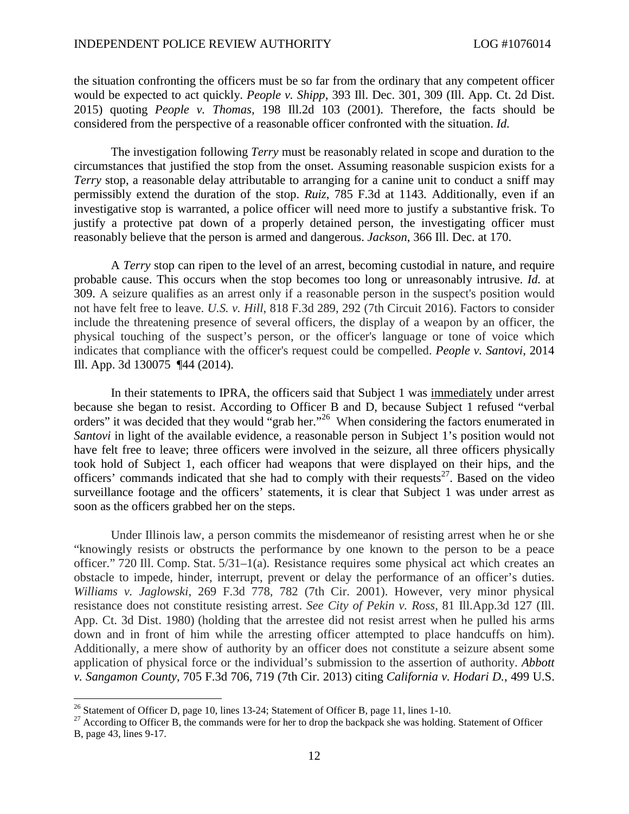the situation confronting the officers must be so far from the ordinary that any competent officer would be expected to act quickly. *People v. Shipp*, 393 Ill. Dec. 301, 309 (Ill. App. Ct. 2d Dist. 2015) quoting *People v. Thomas,* 198 Ill.2d 103 (2001). Therefore, the facts should be considered from the perspective of a reasonable officer confronted with the situation. *Id.*

The investigation following *Terry* must be reasonably related in scope and duration to the circumstances that justified the stop from the onset. Assuming reasonable suspicion exists for a *Terry* stop, a reasonable delay attributable to arranging for a canine unit to conduct a sniff may permissibly extend the duration of the stop. *Ruiz*, 785 F.3d at 1143*.* Additionally, even if an investigative stop is warranted, a police officer will need more to justify a substantive frisk. To justify a protective pat down of a properly detained person, the investigating officer must reasonably believe that the person is armed and dangerous. *Jackson*, 366 Ill. Dec. at 170.

A *Terry* stop can ripen to the level of an arrest, becoming custodial in nature, and require probable cause. This occurs when the stop becomes too long or unreasonably intrusive. *Id.* at 309. A seizure qualifies as an arrest only if a reasonable person in the suspect's position would not have felt free to leave. *U.S. v. Hill*, 818 F.3d 289, 292 (7th Circuit 2016). Factors to consider include the threatening presence of several officers, the display of a weapon by an officer, the physical touching of the suspect's person, or the officer's language or tone of voice which indicates that compliance with the officer's request could be compelled. *People v. Santovi*, 2014 Ill. App. 3d 130075 ¶44 (2014).

In their statements to IPRA, the officers said that Subject 1 was immediately under arrest because she began to resist. According to Officer B and D, because Subject 1 refused "verbal orders"it was decided that they would ["](#page-11-0)grab her."<sup>26</sup> When considering the factors enumerated in *Santovi* in light of the available evidence, a reasonable person in Subject 1's position would not have felt free to leave; three officers were involved in the seizure, all three officers physically took hold of Subject 1, each officer had weapons that were displayed on their hips, and the officers' commands indicated that she had to comply with their requests<sup>[27](#page-11-1)</sup>. Based on the video surveillance footage and the officers' statements, it is clear that Subject 1 was under arrest as soon as the officers grabbed her on the steps.

Under Illinois law, a person commits the misdemeanor of resisting arrest when he or she "knowingly resists or obstructs the performance by one known to the person to be a peace officer." 720 Ill. Comp. Stat. 5/31–1(a). Resistance requires some physical act which creates an obstacle to impede, hinder, interrupt, prevent or delay the performance of an officer's duties. *Williams v. Jaglowski*, 269 F.3d 778, 782 (7th Cir. 2001). However, very minor physical resistance does not constitute resisting arrest. *See City of Pekin v. Ross*, 81 Ill.App.3d 127 (Ill. App. Ct. 3d Dist. 1980) (holding that the arrestee did not resist arrest when he pulled his arms down and in front of him while the arresting officer attempted to place handcuffs on him). Additionally, a mere show of authority by an officer does not constitute a seizure absent some application of physical force or the individual's submission to the assertion of authority. *Abbott v. Sangamon County*, 705 F.3d 706, 719 (7th Cir. 2013) citing *California v. Hodari D.*, 499 U.S.

<span id="page-11-0"></span><sup>&</sup>lt;sup>26</sup> Statement of Officer D, page 10, lines 13-24; Statement of Officer B, page 11, lines 1-10.

<span id="page-11-1"></span><sup>&</sup>lt;sup>27</sup> According to Officer B, the commands were for her to drop the backpack she was holding. Statement of Officer B, page 43, lines 9-17.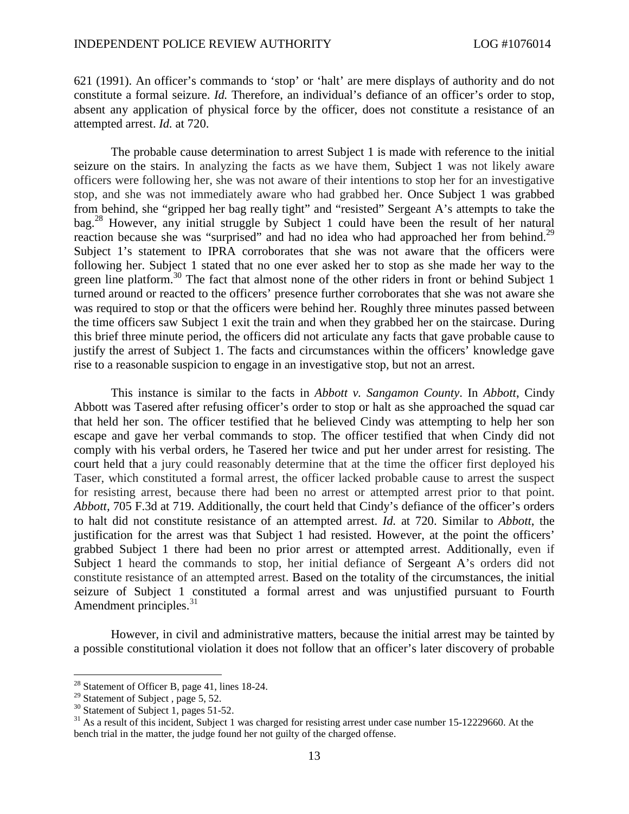621 (1991). An officer's commands to 'stop' or 'halt' are mere displays of authority and do not constitute a formal seizure. *Id.* Therefore, an individual's defiance of an officer's order to stop, absent any application of physical force by the officer, does not constitute a resistance of an attempted arrest. *Id.* at 720.

The probable cause determination to arrest Subject 1 is made with reference to the initial seizure on the stairs. In analyzing the facts as we have them, Subject 1 was not likely aware officers were following her, she was not aware of their intentions to stop her for an investigative stop, and she was not immediately aware who had grabbed her. Once Subject 1 was grabbed from behind, she "gripped her bag really tight" and "resisted" Sergeant A's attempts to take the bag.[28](#page-12-0) However, any initial struggle by Subject 1 could have been the result of her natural reaction because she was "surprised" and had no idea who had approached her from behind.<sup>[29](#page-12-1)</sup> Subject 1's statement to IPRA corroborates that she was not aware that the officers were following her. Subject 1 stated that no one ever asked her to stop as she made her way to the green line platform.<sup>[30](#page-12-2)</sup> The fact that almost none of the other riders in front or behind Subject 1 turned around or reacted to the officers' presence further corroborates that she was not aware she was required to stop or that the officers were behind her. Roughly three minutes passed between the time officers saw Subject 1 exit the train and when they grabbed her on the staircase. During this brief three minute period, the officers did not articulate any facts that gave probable cause to justify the arrest of Subject 1. The facts and circumstances within the officers' knowledge gave rise to a reasonable suspicion to engage in an investigative stop, but not an arrest.

This instance is similar to the facts in *Abbott v. Sangamon County*. In *Abbott*, Cindy Abbott was Tasered after refusing officer's order to stop or halt as she approached the squad car that held her son. The officer testified that he believed Cindy was attempting to help her son escape and gave her verbal commands to stop. The officer testified that when Cindy did not comply with his verbal orders, he Tasered her twice and put her under arrest for resisting. The court held that a jury could reasonably determine that at the time the officer first deployed his Taser, which constituted a formal arrest, the officer lacked probable cause to arrest the suspect for resisting arrest, because there had been no arrest or attempted arrest prior to that point. *Abbott,* 705 F.3d at 719. Additionally, the court held that Cindy's defiance of the officer's orders to halt did not constitute resistance of an attempted arrest. *Id.* at 720. Similar to *Abbott*, the justification for the arrest was that Subject 1 had resisted. However, at the point the officers' grabbed Subject 1 there had been no prior arrest or attempted arrest. Additionally, even if Subject 1 heard the commands to stop, her initial defiance of Sergeant A's orders did not constitute resistance of an attempted arrest. Based on the totality of the circumstances, the initial seizure of Subject 1 constituted a formal arrest and was unjustified pursuant to Fourth Amendment principles.<sup>[31](#page-12-3)</sup>

However, in civil and administrative matters, because the initial arrest may be tainted by a possible constitutional violation it does not follow that an officer's later discovery of probable

<span id="page-12-0"></span><sup>28</sup> Statement of Officer B, page 41, lines 18-24.

<span id="page-12-1"></span><sup>&</sup>lt;sup>29</sup> Statement of Subject, page 5, 52.

<span id="page-12-3"></span><span id="page-12-2"></span><sup>&</sup>lt;sup>30</sup> Statement of Subject 1, pages 51-52.

 $31$  As a result of this incident, Subject 1 was charged for resisting arrest under case number 15-12229660. At the bench trial in the matter, the judge found her not guilty of the charged offense.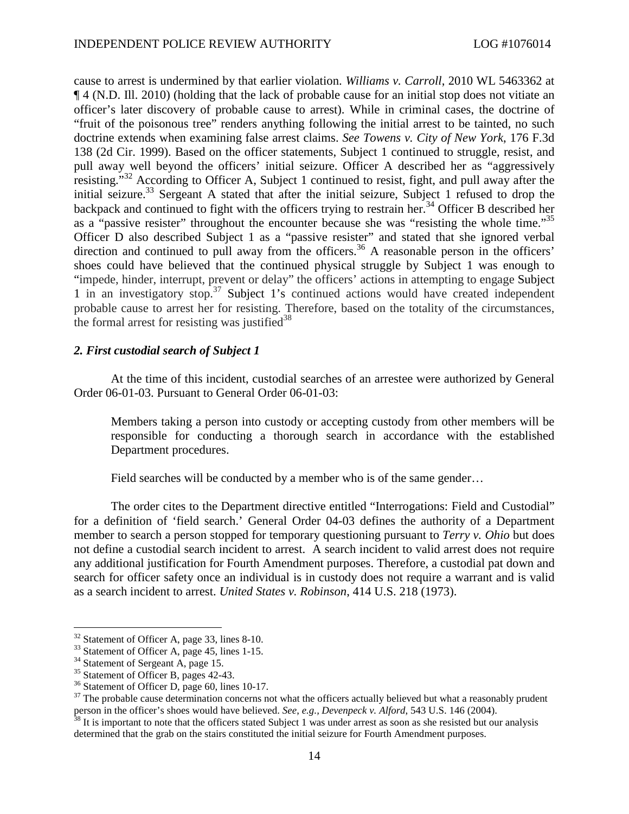cause to arrest is undermined by that earlier violation. *Williams v. Carroll*, 2010 WL 5463362 at ¶ 4 (N.D. Ill. 2010) (holding that the lack of probable cause for an initial stop does not vitiate an officer's later discovery of probable cause to arrest). While in criminal cases, the doctrine of "fruit of the poisonous tree" renders anything following the initial arrest to be tainted, no such doctrine extends when examining false arrest claims. *See Towens v. City of New York*, 176 F.3d 138 (2d Cir. 1999). Based on the officer statements, Subject 1 continued to struggle, resist, and pull away well beyond the officers' initial seizure. Officer A described her as "aggressively resisting."[32](#page-13-0) According to Officer A, Subject 1 continued to resist, fight, and pull away after the initial seizure.<sup>[33](#page-13-1)</sup> Sergeant A stated that after the initial seizure, Subject 1 refused to drop the backpackand continued to fight with the officers trying to restrain her[.](#page-13-2)<sup>34</sup> Officer B described her as a "passive resister" throughout the encounter because she was "resisting the whole time."<sup>[35](#page-13-3)</sup> Officer D also described Subject 1 as a "passive resister" and stated that she ignored verbal direction and continued to pull away from the officers.<sup>[36](#page-13-4)</sup> A reasonable person in the officers' shoes could have believed that the continued physical struggle by Subject 1 was enough to "impede, hinder, interrupt, prevent or delay" the officers' actions in attempting to engage Subject 1in an investigatory stop.<sup>37</sup> Subject 1's continued actions would have created independent probable cause to arrest her for resisting. Therefore, based on the totality of the circumstances, the formal arrest for resisting was justified<sup>[38](#page-13-6)</sup>

# *2. First custodial search of Subject 1*

At the time of this incident, custodial searches of an arrestee were authorized by General Order 06-01-03. Pursuant to General Order 06-01-03:

Members taking a person into custody or accepting custody from other members will be responsible for conducting a thorough search in accordance with the established Department procedures.

Field searches will be conducted by a member who is of the same gender...

The order cites to the Department directive entitled "Interrogations: Field and Custodial" for a definition of 'field search.' General Order 04-03 defines the authority of a Department member to search a person stopped for temporary questioning pursuant to *Terry v. Ohio* but does not define a custodial search incident to arrest. A search incident to valid arrest does not require any additional justification for Fourth Amendment purposes. Therefore, a custodial pat down and search for officer safety once an individual is in custody does not require a warrant and is valid as a search incident to arrest. *United States v. Robinson*, 414 U.S. 218 (1973).

<span id="page-13-0"></span><sup>&</sup>lt;sup>32</sup> Statement of Officer A, page 33, lines 8-10.

<span id="page-13-1"></span><sup>&</sup>lt;sup>33</sup> Statement of Officer A, page 45, lines 1-15.

<span id="page-13-2"></span><sup>&</sup>lt;sup>34</sup> Statement of Sergeant A, page 15.

<span id="page-13-4"></span><span id="page-13-3"></span><sup>&</sup>lt;sup>35</sup> Statement of Officer B, pages 42-43.

<sup>&</sup>lt;sup>36</sup> Statement of Officer D, page 60, lines 10-17.

<span id="page-13-5"></span><sup>&</sup>lt;sup>37</sup> The probable cause determination concerns not what the officers actually believed but what a reasonably prudent person in the officer's shoes would have believed. *See*, *e.g., Devenpeck v. Alford*, 543 U.S. 146 (2004).

<span id="page-13-6"></span> $38$  It is important to note that the officers stated Subject 1 was under arrest as soon as she resisted but our analysis determined that the grab on the stairs constituted the initial seizure for Fourth Amendment purposes.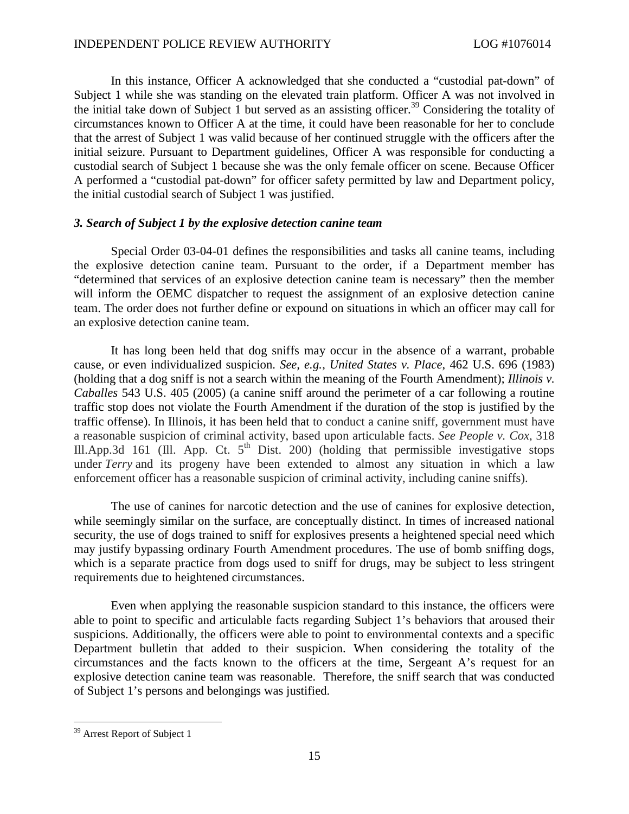In this instance, Officer A acknowledged that she conducted a "custodial pat-down" of Subject 1 while she was standing on the elevated train platform. Officer A was not involved in the initial take down of Subject  $\overline{1}$  but served as an assisting officer.<sup>[39](#page-14-0)</sup> Considering the totality of circumstances known to Officer A at the time, it could have been reasonable for her to conclude that the arrest of Subject 1 was valid because of her continued struggle with the officers after the initial seizure. Pursuant to Department guidelines, Officer A was responsible for conducting a custodial search of Subject 1 because she was the only female officer on scene. Because Officer A performed a "custodial pat-down" for officer safety permitted by law and Department policy, the initial custodial search of Subject 1 was justified.

## *3. Search of Subject 1 by the explosive detection canine team*

Special Order 03-04-01 defines the responsibilities and tasks all canine teams, including the explosive detection canine team. Pursuant to the order, if a Department member has "determined that services of an explosive detection canine team is necessary" then the member will inform the OEMC dispatcher to request the assignment of an explosive detection canine team. The order does not further define or expound on situations in which an officer may call for an explosive detection canine team.

It has long been held that dog sniffs may occur in the absence of a warrant, probable cause, or even individualized suspicion. *See, e.g.*, *United States v. Place*, 462 U.S. 696 (1983) (holding that a dog sniff is not a search within the meaning of the Fourth Amendment); *Illinois v. Caballes* 543 U.S. 405 (2005) (a canine sniff around the perimeter of a car following a routine traffic stop does not violate the Fourth Amendment if the duration of the stop is justified by the traffic offense). In Illinois, it has been held that to conduct a canine sniff, government must have a reasonable suspicion of criminal activity, based upon articulable facts. *See People v. Cox*, 318 Ill.App.3d 161 (Ill. App. Ct.  $5<sup>th</sup>$  Dist. 200) (holding that permissible investigative stops under *Terry* and its progeny have been extended to almost any situation in which a law enforcement officer has a reasonable suspicion of criminal activity, including canine sniffs).

The use of canines for narcotic detection and the use of canines for explosive detection, while seemingly similar on the surface, are conceptually distinct. In times of increased national security, the use of dogs trained to sniff for explosives presents a heightened special need which may justify bypassing ordinary Fourth Amendment procedures. The use of bomb sniffing dogs, which is a separate practice from dogs used to sniff for drugs, may be subject to less stringent requirements due to heightened circumstances.

Even when applying the reasonable suspicion standard to this instance, the officers were able to point to specific and articulable facts regarding Subject 1's behaviors that aroused their suspicions. Additionally, the officers were able to point to environmental contexts and a specific Department bulletin that added to their suspicion. When considering the totality of the circumstances and the facts known to the officers at the time, Sergeant A's request for an explosive detection canine team was reasonable. Therefore, the sniff search that was conducted of Subject 1's persons and belongings was justified.

<span id="page-14-0"></span><sup>&</sup>lt;sup>39</sup> Arrest Report of Subject 1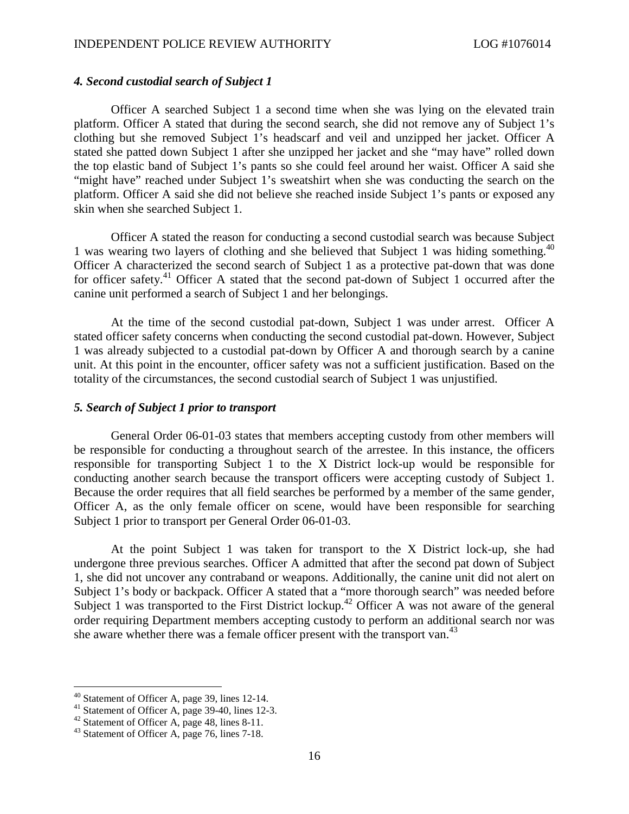# *4. Second custodial search of Subject 1*

Officer A searched Subject 1 a second time when she was lying on the elevated train platform. Officer A stated that during the second search, she did not remove any of Subject 1's clothing but she removed Subject 1's headscarf and veil and unzipped her jacket. Officer A stated she patted down Subject 1 after she unzipped her jacket and she "may have" rolled down the top elastic band of Subject 1's pants so she could feel around her waist. Officer A said she "might have" reached under Subject 1's sweatshirt when she was conducting the search on the platform. Officer A said she did not believe she reached inside Subject 1's pants or exposed any skin when she searched Subject 1.

Officer A stated the reason for conducting a second custodial search was because Subject 1 was wearing two layers of clothing and she believed that Subject 1 was hiding something.<sup>[40](#page-15-0)</sup> Officer A characterized the second search of Subject 1 as a protective pat-down that was done for officer safety.<sup>[41](#page-15-1)</sup> Officer A stated that the second pat-down of Subject 1 occurred after the canine unit performed a search of Subject 1 and her belongings.

At the time of the second custodial pat-down, Subject 1 was under arrest. Officer A stated officer safety concerns when conducting the second custodial pat-down. However, Subject 1 was already subjected to a custodial pat-down by Officer A and thorough search by a canine unit. At this point in the encounter, officer safety was not a sufficient justification. Based on the totality of the circumstances, the second custodial search of Subject 1 was unjustified.

## *5. Search of Subject 1 prior to transport*

General Order 06-01-03 states that members accepting custody from other members will be responsible for conducting a throughout search of the arrestee. In this instance, the officers responsible for transporting Subject 1 to the X District lock-up would be responsible for conducting another search because the transport officers were accepting custody of Subject 1. Because the order requires that all field searches be performed by a member of the same gender, Officer A, as the only female officer on scene, would have been responsible for searching Subject 1 prior to transport per General Order 06-01-03.

At the point Subject 1 was taken for transport to the X District lock-up, she had undergone three previous searches. Officer A admitted that after the second pat down of Subject 1, she did not uncover any contraband or weapons. Additionally, the canine unit did not alert on Subject 1's body or backpack. Officer A stated that a "more thorough search" was needed before Subject 1 was transported to the First District lockup.<sup>[42](#page-15-2)</sup> Officer A was not aware of the general order requiring Department members accepting custody to perform an additional search nor was she aware whether there was a female officer present with the transport van.<sup>[43](#page-15-3)</sup>

<span id="page-15-0"></span><sup>40</sup> Statement of Officer A, page 39, lines 12-14.

<span id="page-15-1"></span><sup>&</sup>lt;sup>41</sup> Statement of Officer A, page 39-40, lines 12-3.

<span id="page-15-2"></span><sup>&</sup>lt;sup>42</sup> Statement of Officer A, page  $48$ , lines  $8-11$ .

<span id="page-15-3"></span><sup>&</sup>lt;sup>43</sup> Statement of Officer A, page 76, lines 7-18.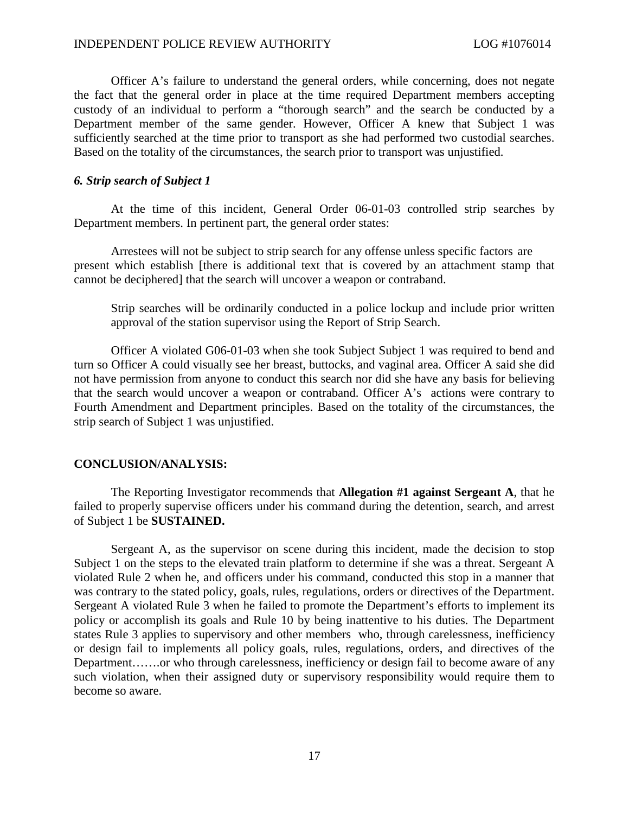Officer A's failure to understand the general orders, while concerning, does not negate the fact that the general order in place at the time required Department members accepting custody of an individual to perform a "thorough search" and the search be conducted by a Department member of the same gender. However, Officer A knew that Subject 1 was sufficiently searched at the time prior to transport as she had performed two custodial searches. Based on the totality of the circumstances, the search prior to transport was unjustified.

# *6. Strip search of Subject 1*

At the time of this incident, General Order 06-01-03 controlled strip searches by Department members. In pertinent part, the general order states:

Arrestees will not be subject to strip search for any offense unless specific factors are present which establish [there is additional text that is covered by an attachment stamp that cannot be deciphered] that the search will uncover a weapon or contraband.

Strip searches will be ordinarily conducted in a police lockup and include prior written approval of the station supervisor using the Report of Strip Search.

Officer A violated G06-01-03 when she took Subject Subject 1 was required to bend and turn so Officer A could visually see her breast, buttocks, and vaginal area. Officer A said she did not have permission from anyone to conduct this search nor did she have any basis for believing that the search would uncover a weapon or contraband. Officer A's actions were contrary to Fourth Amendment and Department principles. Based on the totality of the circumstances, the strip search of Subject 1 was unjustified.

#### **CONCLUSION/ANALYSIS:**

The Reporting Investigator recommends that **Allegation #1 against Sergeant A**, that he failed to properly supervise officers under his command during the detention, search, and arrest of Subject 1 be **SUSTAINED.**

Sergeant A, as the supervisor on scene during this incident, made the decision to stop Subject 1 on the steps to the elevated train platform to determine if she was a threat. Sergeant A violated Rule 2 when he, and officers under his command, conducted this stop in a manner that was contrary to the stated policy, goals, rules, regulations, orders or directives of the Department. Sergeant A violated Rule 3 when he failed to promote the Department's efforts to implement its policy or accomplish its goals and Rule 10 by being inattentive to his duties. The Department states Rule 3 applies to supervisory and other members who, through carelessness, inefficiency or design fail to implements all policy goals, rules, regulations, orders, and directives of the Department…….or who through carelessness, inefficiency or design fail to become aware of any such violation, when their assigned duty or supervisory responsibility would require them to become so aware.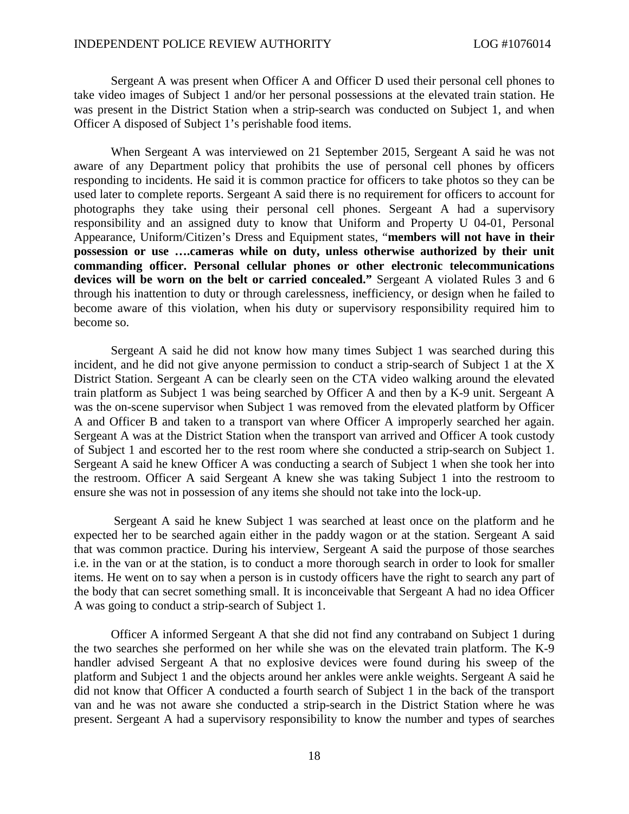Sergeant A was present when Officer A and Officer D used their personal cell phones to take video images of Subject 1 and/or her personal possessions at the elevated train station. He was present in the District Station when a strip-search was conducted on Subject 1, and when Officer A disposed of Subject 1's perishable food items.

When Sergeant A was interviewed on 21 September 2015, Sergeant A said he was not aware of any Department policy that prohibits the use of personal cell phones by officers responding to incidents. He said it is common practice for officers to take photos so they can be used later to complete reports. Sergeant A said there is no requirement for officers to account for photographs they take using their personal cell phones. Sergeant A had a supervisory responsibility and an assigned duty to know that Uniform and Property U 04-01, Personal Appearance, Uniform/Citizen's Dress and Equipment states, "**members will not have in their possession or use ….cameras while on duty, unless otherwise authorized by their unit commanding officer. Personal cellular phones or other electronic telecommunications devices will be worn on the belt or carried concealed."** Sergeant A violated Rules 3 and 6 through his inattention to duty or through carelessness, inefficiency, or design when he failed to become aware of this violation, when his duty or supervisory responsibility required him to become so.

Sergeant A said he did not know how many times Subject 1 was searched during this incident, and he did not give anyone permission to conduct a strip-search of Subject 1 at the X District Station. Sergeant A can be clearly seen on the CTA video walking around the elevated train platform as Subject 1 was being searched by Officer A and then by a K-9 unit. Sergeant A was the on-scene supervisor when Subject 1 was removed from the elevated platform by Officer A and Officer B and taken to a transport van where Officer A improperly searched her again. Sergeant A was at the District Station when the transport van arrived and Officer A took custody of Subject 1 and escorted her to the rest room where she conducted a strip-search on Subject 1. Sergeant A said he knew Officer A was conducting a search of Subject 1 when she took her into the restroom. Officer A said Sergeant A knew she was taking Subject 1 into the restroom to ensure she was not in possession of any items she should not take into the lock-up.

Sergeant A said he knew Subject 1 was searched at least once on the platform and he expected her to be searched again either in the paddy wagon or at the station. Sergeant A said that was common practice. During his interview, Sergeant A said the purpose of those searches i.e. in the van or at the station, is to conduct a more thorough search in order to look for smaller items. He went on to say when a person is in custody officers have the right to search any part of the body that can secret something small. It is inconceivable that Sergeant A had no idea Officer A was going to conduct a strip-search of Subject 1.

Officer A informed Sergeant A that she did not find any contraband on Subject 1 during the two searches she performed on her while she was on the elevated train platform. The K-9 handler advised Sergeant A that no explosive devices were found during his sweep of the platform and Subject 1 and the objects around her ankles were ankle weights. Sergeant A said he did not know that Officer A conducted a fourth search of Subject 1 in the back of the transport van and he was not aware she conducted a strip-search in the District Station where he was present. Sergeant A had a supervisory responsibility to know the number and types of searches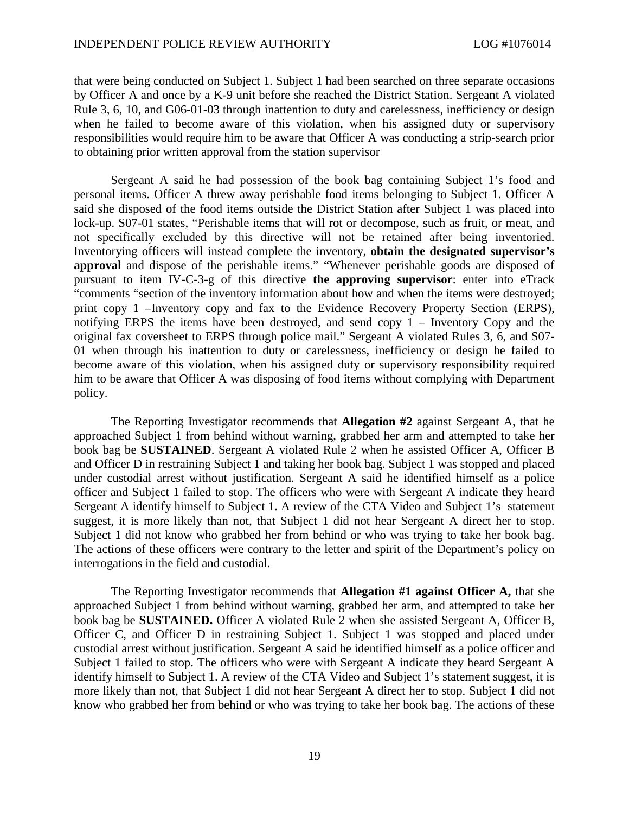that were being conducted on Subject 1. Subject 1 had been searched on three separate occasions by Officer A and once by a K-9 unit before she reached the District Station. Sergeant A violated Rule 3, 6, 10, and G06-01-03 through inattention to duty and carelessness, inefficiency or design when he failed to become aware of this violation, when his assigned duty or supervisory responsibilities would require him to be aware that Officer A was conducting a strip-search prior to obtaining prior written approval from the station supervisor

Sergeant A said he had possession of the book bag containing Subject 1's food and personal items. Officer A threw away perishable food items belonging to Subject 1. Officer A said she disposed of the food items outside the District Station after Subject 1 was placed into lock-up. S07-01 states, "Perishable items that will rot or decompose, such as fruit, or meat, and not specifically excluded by this directive will not be retained after being inventoried. Inventorying officers will instead complete the inventory, **obtain the designated supervisor's approval** and dispose of the perishable items." "Whenever perishable goods are disposed of pursuant to item IV-C-3-g of this directive **the approving supervisor**: enter into eTrack "comments "section of the inventory information about how and when the items were destroyed; print copy 1 –Inventory copy and fax to the Evidence Recovery Property Section (ERPS), notifying ERPS the items have been destroyed, and send copy 1 – Inventory Copy and the original fax coversheet to ERPS through police mail." Sergeant A violated Rules 3, 6, and S07- 01 when through his inattention to duty or carelessness, inefficiency or design he failed to become aware of this violation, when his assigned duty or supervisory responsibility required him to be aware that Officer A was disposing of food items without complying with Department policy.

The Reporting Investigator recommends that **Allegation #2** against Sergeant A, that he approached Subject 1 from behind without warning, grabbed her arm and attempted to take her book bag be **SUSTAINED**. Sergeant A violated Rule 2 when he assisted Officer A, Officer B and Officer D in restraining Subject 1 and taking her book bag. Subject 1 was stopped and placed under custodial arrest without justification. Sergeant A said he identified himself as a police officer and Subject 1 failed to stop. The officers who were with Sergeant A indicate they heard Sergeant A identify himself to Subject 1. A review of the CTA Video and Subject 1's statement suggest, it is more likely than not, that Subject 1 did not hear Sergeant A direct her to stop. Subject 1 did not know who grabbed her from behind or who was trying to take her book bag. The actions of these officers were contrary to the letter and spirit of the Department's policy on interrogations in the field and custodial.

The Reporting Investigator recommends that **Allegation #1 against Officer A,** that she approached Subject 1 from behind without warning, grabbed her arm, and attempted to take her book bag be **SUSTAINED.** Officer A violated Rule 2 when she assisted Sergeant A, Officer B, Officer C, and Officer D in restraining Subject 1. Subject 1 was stopped and placed under custodial arrest without justification. Sergeant A said he identified himself as a police officer and Subject 1 failed to stop. The officers who were with Sergeant A indicate they heard Sergeant A identify himself to Subject 1. A review of the CTA Video and Subject 1's statement suggest, it is more likely than not, that Subject 1 did not hear Sergeant A direct her to stop. Subject 1 did not know who grabbed her from behind or who was trying to take her book bag. The actions of these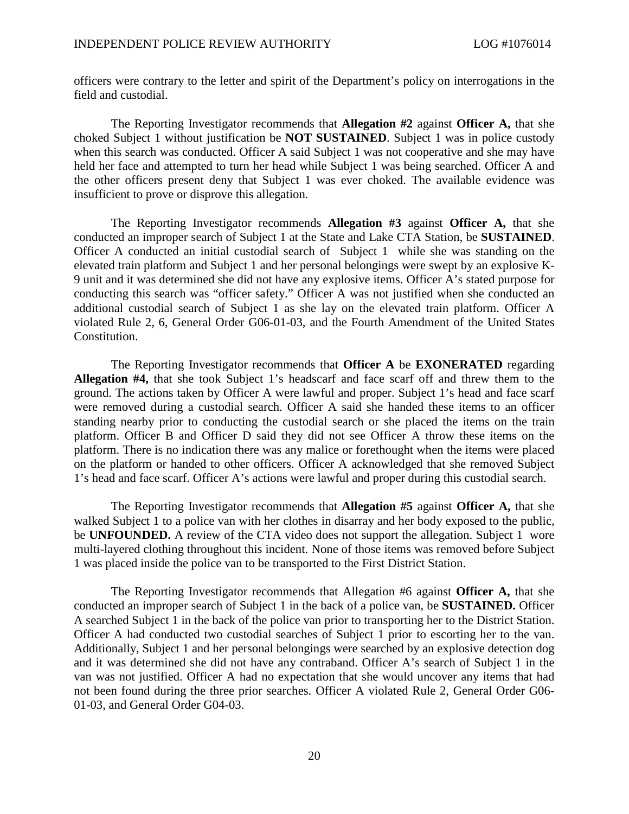officers were contrary to the letter and spirit of the Department's policy on interrogations in the field and custodial.

The Reporting Investigator recommends that **Allegation #2** against **Officer A,** that she choked Subject 1 without justification be **NOT SUSTAINED**. Subject 1 was in police custody when this search was conducted. Officer A said Subject 1 was not cooperative and she may have held her face and attempted to turn her head while Subject 1 was being searched. Officer A and the other officers present deny that Subject 1 was ever choked. The available evidence was insufficient to prove or disprove this allegation.

The Reporting Investigator recommends **Allegation #3** against **Officer A,** that she conducted an improper search of Subject 1 at the State and Lake CTA Station, be **SUSTAINED**. Officer A conducted an initial custodial search of Subject 1 while she was standing on the elevated train platform and Subject 1 and her personal belongings were swept by an explosive K-9 unit and it was determined she did not have any explosive items. Officer A's stated purpose for conducting this search was "officer safety." Officer A was not justified when she conducted an additional custodial search of Subject 1 as she lay on the elevated train platform. Officer A violated Rule 2, 6, General Order G06-01-03, and the Fourth Amendment of the United States Constitution.

The Reporting Investigator recommends that **Officer A** be **EXONERATED** regarding **Allegation #4,** that she took Subject 1's headscarf and face scarf off and threw them to the ground. The actions taken by Officer A were lawful and proper. Subject 1's head and face scarf were removed during a custodial search. Officer A said she handed these items to an officer standing nearby prior to conducting the custodial search or she placed the items on the train platform. Officer B and Officer D said they did not see Officer A throw these items on the platform. There is no indication there was any malice or forethought when the items were placed on the platform or handed to other officers. Officer A acknowledged that she removed Subject 1's head and face scarf. Officer A's actions were lawful and proper during this custodial search.

The Reporting Investigator recommends that **Allegation #5** against **Officer A,** that she walked Subject 1 to a police van with her clothes in disarray and her body exposed to the public, be **UNFOUNDED.** A review of the CTA video does not support the allegation. Subject 1 wore multi-layered clothing throughout this incident. None of those items was removed before Subject 1 was placed inside the police van to be transported to the First District Station.

The Reporting Investigator recommends that Allegation #6 against **Officer A,** that she conducted an improper search of Subject 1 in the back of a police van, be **SUSTAINED.** Officer A searched Subject 1 in the back of the police van prior to transporting her to the District Station. Officer A had conducted two custodial searches of Subject 1 prior to escorting her to the van. Additionally, Subject 1 and her personal belongings were searched by an explosive detection dog and it was determined she did not have any contraband. Officer A's search of Subject 1 in the van was not justified. Officer A had no expectation that she would uncover any items that had not been found during the three prior searches. Officer A violated Rule 2, General Order G06- 01-03, and General Order G04-03.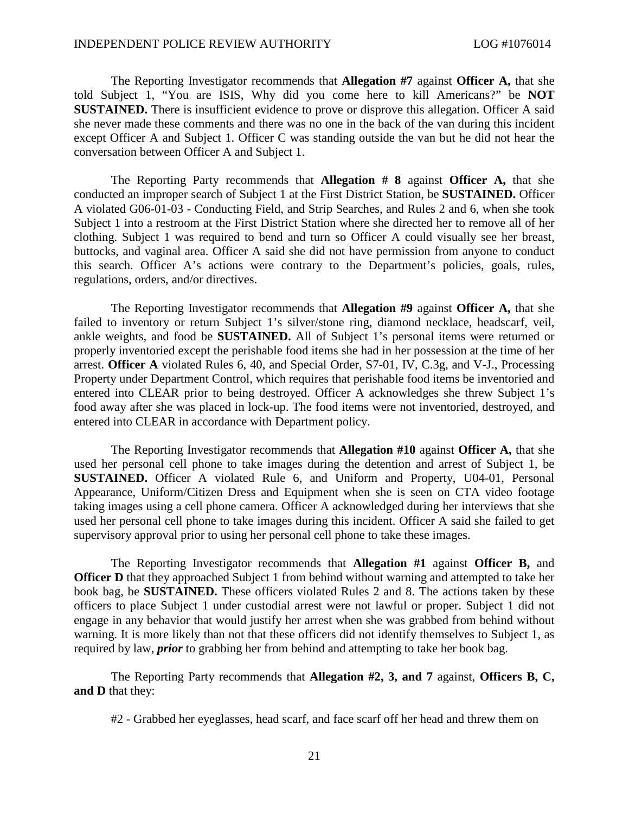The Reporting Investigator recommends that **Allegation #7** against **Officer A,** that she told Subject 1, "You are ISIS, Why did you come here to kill Americans?" be **NOT SUSTAINED.** There is insufficient evidence to prove or disprove this allegation. Officer A said she never made these comments and there was no one in the back of the van during this incident except Officer A and Subject 1. Officer C was standing outside the van but he did not hear the conversation between Officer A and Subject 1.

The Reporting Party recommends that **Allegation # 8** against **Officer A,** that she conducted an improper search of Subject 1 at the First District Station, be **SUSTAINED.** Officer A violated G06-01-03 - Conducting Field, and Strip Searches, and Rules 2 and 6, when she took Subject 1 into a restroom at the First District Station where she directed her to remove all of her clothing. Subject 1 was required to bend and turn so Officer A could visually see her breast, buttocks, and vaginal area. Officer A said she did not have permission from anyone to conduct this search. Officer A's actions were contrary to the Department's policies, goals, rules, regulations, orders, and/or directives.

The Reporting Investigator recommends that **Allegation #9** against **Officer A,** that she failed to inventory or return Subject 1's silver/stone ring, diamond necklace, headscarf, veil, ankle weights, and food be **SUSTAINED.** All of Subject 1's personal items were returned or properly inventoried except the perishable food items she had in her possession at the time of her arrest. **Officer A** violated Rules 6, 40, and Special Order, S7-01, IV, C.3g, and V-J., Processing Property under Department Control, which requires that perishable food items be inventoried and entered into CLEAR prior to being destroyed. Officer A acknowledges she threw Subject 1's food away after she was placed in lock-up. The food items were not inventoried, destroyed, and entered into CLEAR in accordance with Department policy.

The Reporting Investigator recommends that **Allegation #10** against **Officer A,** that she used her personal cell phone to take images during the detention and arrest of Subject 1, be **SUSTAINED.** Officer A violated Rule 6, and Uniform and Property, U04-01, Personal Appearance, Uniform/Citizen Dress and Equipment when she is seen on CTA video footage taking images using a cell phone camera. Officer A acknowledged during her interviews that she used her personal cell phone to take images during this incident. Officer A said she failed to get supervisory approval prior to using her personal cell phone to take these images.

The Reporting Investigator recommends that **Allegation #1** against **Officer B,** and **Officer D** that they approached Subject 1 from behind without warning and attempted to take her book bag, be **SUSTAINED.** These officers violated Rules 2 and 8. The actions taken by these officers to place Subject 1 under custodial arrest were not lawful or proper. Subject 1 did not engage in any behavior that would justify her arrest when she was grabbed from behind without warning. It is more likely than not that these officers did not identify themselves to Subject 1, as required by law, *prior* to grabbing her from behind and attempting to take her book bag.

The Reporting Party recommends that **Allegation #2, 3, and 7** against, **Officers B, C, and D** that they:

#2 - Grabbed her eyeglasses, head scarf, and face scarf off her head and threw them on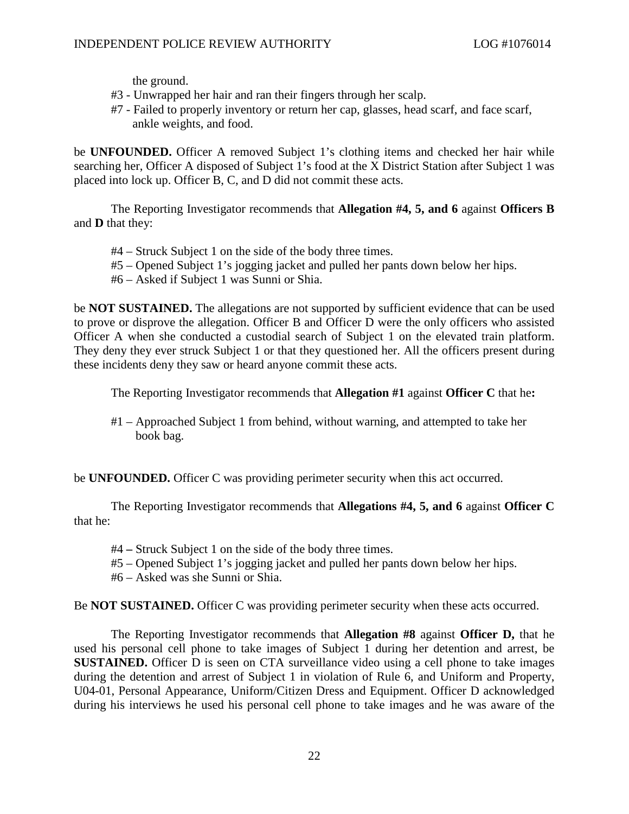the ground.

- #3 Unwrapped her hair and ran their fingers through her scalp.
- #7 Failed to properly inventory or return her cap, glasses, head scarf, and face scarf, ankle weights, and food.

be **UNFOUNDED.** Officer A removed Subject 1's clothing items and checked her hair while searching her, Officer A disposed of Subject 1's food at the X District Station after Subject 1 was placed into lock up. Officer B, C, and D did not commit these acts.

The Reporting Investigator recommends that **Allegation #4, 5, and 6** against **Officers B** and **D** that they:

- #4 Struck Subject 1 on the side of the body three times.
- #5 Opened Subject 1's jogging jacket and pulled her pants down below her hips.
- #6 Asked if Subject 1 was Sunni or Shia.

be **NOT SUSTAINED.** The allegations are not supported by sufficient evidence that can be used to prove or disprove the allegation. Officer B and Officer D were the only officers who assisted Officer A when she conducted a custodial search of Subject 1 on the elevated train platform. They deny they ever struck Subject 1 or that they questioned her. All the officers present during these incidents deny they saw or heard anyone commit these acts.

The Reporting Investigator recommends that **Allegation #1** against **Officer C** that he**:**

#1 – Approached Subject 1 from behind, without warning, and attempted to take her book bag.

be **UNFOUNDED.** Officer C was providing perimeter security when this act occurred.

The Reporting Investigator recommends that **Allegations #4, 5, and 6** against **Officer C** that he:

- #4 **–** Struck Subject 1 on the side of the body three times.
- #5 Opened Subject 1's jogging jacket and pulled her pants down below her hips.
- #6 Asked was she Sunni or Shia.

Be **NOT SUSTAINED.** Officer C was providing perimeter security when these acts occurred.

The Reporting Investigator recommends that **Allegation #8** against **Officer D,** that he used his personal cell phone to take images of Subject 1 during her detention and arrest, be **SUSTAINED.** Officer D is seen on CTA surveillance video using a cell phone to take images during the detention and arrest of Subject 1 in violation of Rule 6, and Uniform and Property, U04-01, Personal Appearance, Uniform/Citizen Dress and Equipment. Officer D acknowledged during his interviews he used his personal cell phone to take images and he was aware of the